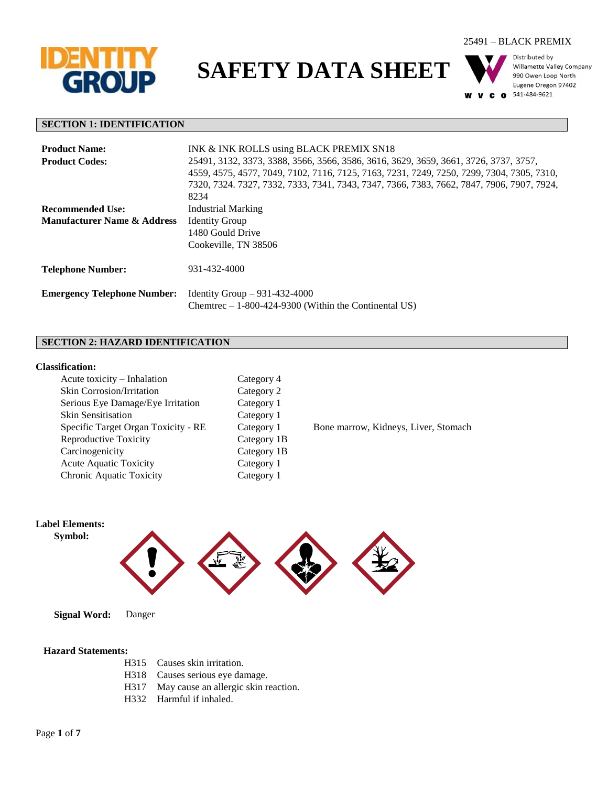

**SAFETY DATA SHEET**





Distributed by Willamette Valley Company 990 Owen Loop North Eugene Oregon 97402 541-484-9621

#### **SECTION 1: IDENTIFICATION**

| <b>Product Name:</b>                   | INK & INK ROLLS using BLACK PREMIX SN18                                                   |  |
|----------------------------------------|-------------------------------------------------------------------------------------------|--|
| <b>Product Codes:</b>                  | 25491, 3132, 3373, 3388, 3566, 3566, 3586, 3616, 3629, 3659, 3661, 3726, 3737, 3757,      |  |
|                                        | 4559, 4575, 4577, 7049, 7102, 7116, 7125, 7163, 7231, 7249, 7250, 7299, 7304, 7305, 7310, |  |
|                                        | 7320, 7324, 7327, 7332, 7333, 7341, 7343, 7347, 7366, 7383, 7662, 7847, 7906, 7907, 7924, |  |
|                                        | 8234                                                                                      |  |
| <b>Recommended Use:</b>                | <b>Industrial Marking</b>                                                                 |  |
| <b>Manufacturer Name &amp; Address</b> | <b>Identity Group</b>                                                                     |  |
|                                        | 1480 Gould Drive                                                                          |  |
|                                        | Cookeville, TN 38506                                                                      |  |
| <b>Telephone Number:</b>               | 931-432-4000                                                                              |  |
| <b>Emergency Telephone Number:</b>     | Identity Group $-931-432-4000$                                                            |  |
|                                        | Chemitrec $-1-800-424-9300$ (Within the Continental US)                                   |  |

## **SECTION 2: HAZARD IDENTIFICATION**

#### **Classification:**

| Acute toxicity - Inhalation         | Category 4  |
|-------------------------------------|-------------|
| Skin Corrosion/Irritation           | Category 2  |
| Serious Eye Damage/Eye Irritation   | Category 1  |
| <b>Skin Sensitisation</b>           | Category 1  |
| Specific Target Organ Toxicity - RE | Category 1  |
| <b>Reproductive Toxicity</b>        | Category 1B |
| Carcinogenicity                     | Category 1B |
| <b>Acute Aquatic Toxicity</b>       | Category 1  |
| Chronic Aquatic Toxicity            | Category 1  |

Bone marrow, Kidneys, Liver, Stomach



#### **Hazard Statements:**

- H315 Causes skin irritation.
- H318 Causes serious eye damage.
- H317 May cause an allergic skin reaction.
- H332 Harmful if inhaled.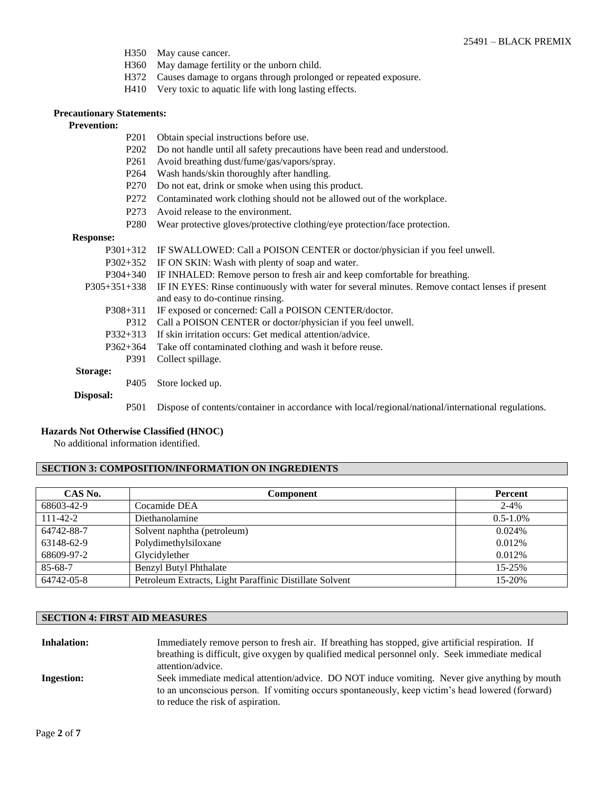- H350 May cause cancer.
- H360 May damage fertility or the unborn child.
- H372 Causes damage to organs through prolonged or repeated exposure.
- H410 Very toxic to aquatic life with long lasting effects.

#### **Precautionary Statements:**

#### **Prevention:**

- P201 Obtain special instructions before use.
- P202 Do not handle until all safety precautions have been read and understood.
- P261 Avoid breathing dust/fume/gas/vapors/spray.
- P264 Wash hands/skin thoroughly after handling.
- P270 Do not eat, drink or smoke when using this product.
- P272 Contaminated work clothing should not be allowed out of the workplace.
- P273 Avoid release to the environment.
- P280 Wear protective gloves/protective clothing/eye protection/face protection.

#### **Response:**

| TTCD DOILD C.    |                                                                                                     |
|------------------|-----------------------------------------------------------------------------------------------------|
| $P301+312$       | IF SWALLOWED: Call a POISON CENTER or doctor/physician if you feel unwell.                          |
| $P302+352$       | IF ON SKIN: Wash with plenty of soap and water.                                                     |
| $P304+340$       | IF INHALED: Remove person to fresh air and keep comfortable for breathing.                          |
| $P305+351+338$   | IF IN EYES: Rinse continuously with water for several minutes. Remove contact lenses if present     |
|                  | and easy to do-continue rinsing.                                                                    |
| P308+311         | IF exposed or concerned: Call a POISON CENTER/doctor.                                               |
| P312             | Call a POISON CENTER or doctor/physician if you feel unwell.                                        |
| $P332+313$       | If skin irritation occurs: Get medical attention/advice.                                            |
| $P362+364$       | Take off contaminated clothing and wash it before reuse.                                            |
| P391             | Collect spillage.                                                                                   |
| Storage:         |                                                                                                     |
| P405             | Store locked up.                                                                                    |
| Disposal:        |                                                                                                     |
| P <sub>501</sub> | Dispose of contents/container in accordance with local/regional/national/international regulations. |

### **Hazards Not Otherwise Classified (HNOC)**

No additional information identified.

### **SECTION 3: COMPOSITION/INFORMATION ON INGREDIENTS**

| CAS No.        | <b>Component</b>                                        | <b>Percent</b> |
|----------------|---------------------------------------------------------|----------------|
| 68603-42-9     | Cocamide DEA                                            | $2 - 4\%$      |
| $111 - 42 - 2$ | Diethanolamine                                          | $0.5 - 1.0\%$  |
| 64742-88-7     | Solvent naphtha (petroleum)                             | $0.024\%$      |
| 63148-62-9     | Polydimethylsiloxane                                    | 0.012%         |
| 68609-97-2     | Glycidylether                                           | 0.012\%        |
| 85-68-7        | <b>Benzyl Butyl Phthalate</b>                           | $15 - 25%$     |
| 64742-05-8     | Petroleum Extracts, Light Paraffinic Distillate Solvent | 15-20%         |

## **SECTION 4: FIRST AID MEASURES**

| <b>Inhalation:</b> | Immediately remove person to fresh air. If breathing has stopped, give artificial respiration. If<br>breathing is difficult, give oxygen by qualified medical personnel only. Seek immediate medical<br>attention/advice.              |
|--------------------|----------------------------------------------------------------------------------------------------------------------------------------------------------------------------------------------------------------------------------------|
| <b>Ingestion:</b>  | Seek immediate medical attention/advice. DO NOT induce vomiting. Never give anything by mouth<br>to an unconscious person. If vomiting occurs spontaneously, keep victim's head lowered (forward)<br>to reduce the risk of aspiration. |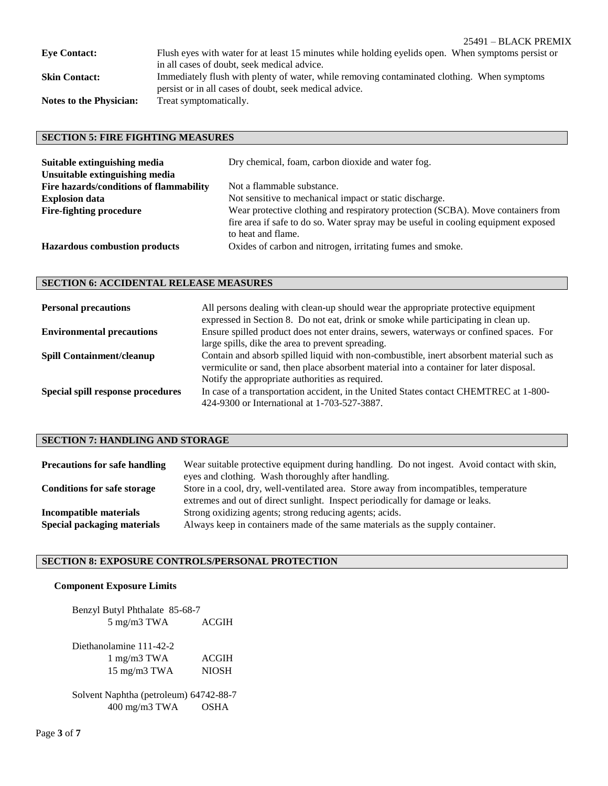| <b>Eve Contact:</b>            | Flush eyes with water for at least 15 minutes while holding eyelids open. When symptoms persist or |
|--------------------------------|----------------------------------------------------------------------------------------------------|
|                                | in all cases of doubt, seek medical advice.                                                        |
| <b>Skin Contact:</b>           | Immediately flush with plenty of water, while removing contaminated clothing. When symptoms        |
|                                | persist or in all cases of doubt, seek medical advice.                                             |
| <b>Notes to the Physician:</b> | Treat symptomatically.                                                                             |

## **SECTION 5: FIRE FIGHTING MEASURES**

| Suitable extinguishing media<br>Unsuitable extinguishing media | Dry chemical, foam, carbon dioxide and water fog.                                                                                                                                            |
|----------------------------------------------------------------|----------------------------------------------------------------------------------------------------------------------------------------------------------------------------------------------|
| Fire hazards/conditions of flammability                        | Not a flammable substance.                                                                                                                                                                   |
| <b>Explosion data</b>                                          | Not sensitive to mechanical impact or static discharge.                                                                                                                                      |
| <b>Fire-fighting procedure</b>                                 | Wear protective clothing and respiratory protection (SCBA). Move containers from<br>fire area if safe to do so. Water spray may be useful in cooling equipment exposed<br>to heat and flame. |
| <b>Hazardous combustion products</b>                           | Oxides of carbon and nitrogen, irritating fumes and smoke.                                                                                                                                   |

# **SECTION 6: ACCIDENTAL RELEASE MEASURES**

| <b>Personal precautions</b>       | All persons dealing with clean-up should wear the appropriate protective equipment<br>expressed in Section 8. Do not eat, drink or smoke while participating in clean up. |
|-----------------------------------|---------------------------------------------------------------------------------------------------------------------------------------------------------------------------|
| <b>Environmental precautions</b>  | Ensure spilled product does not enter drains, sewers, waterways or confined spaces. For                                                                                   |
|                                   | large spills, dike the area to prevent spreading.                                                                                                                         |
| <b>Spill Containment/cleanup</b>  | Contain and absorb spilled liquid with non-combustible, inert absorbent material such as                                                                                  |
|                                   | vermiculite or sand, then place absorbent material into a container for later disposal.                                                                                   |
|                                   | Notify the appropriate authorities as required.                                                                                                                           |
| Special spill response procedures | In case of a transportation accident, in the United States contact CHEMTREC at 1-800-                                                                                     |
|                                   | 424-9300 or International at 1-703-527-3887.                                                                                                                              |

# **SECTION 7: HANDLING AND STORAGE**

| <b>Precautions for safe handling</b>                  | Wear suitable protective equipment during handling. Do not ingest. Avoid contact with skin,<br>eyes and clothing. Wash thoroughly after handling.                        |  |
|-------------------------------------------------------|--------------------------------------------------------------------------------------------------------------------------------------------------------------------------|--|
| <b>Conditions for safe storage</b>                    | Store in a cool, dry, well-ventilated area. Store away from incompatibles, temperature<br>extremes and out of direct sunlight. Inspect periodically for damage or leaks. |  |
| Incompatible materials<br>Special packaging materials | Strong oxidizing agents; strong reducing agents; acids.<br>Always keep in containers made of the same materials as the supply container.                                 |  |

## **SECTION 8: EXPOSURE CONTROLS/PERSONAL PROTECTION**

#### **Component Exposure Limits**

| Benzyl Butyl Phthalate 85-68-7 |              |  |
|--------------------------------|--------------|--|
| $5 \text{ mg/m}3 \text{ TWA}$  | <b>ACGIH</b> |  |

Diethanolamine 111-42-2 1 mg/m3 TWA ACGIH 15 mg/m3 TWA NIOSH

Solvent Naphtha (petroleum) 64742-88-7 400 mg/m3 TWA OSHA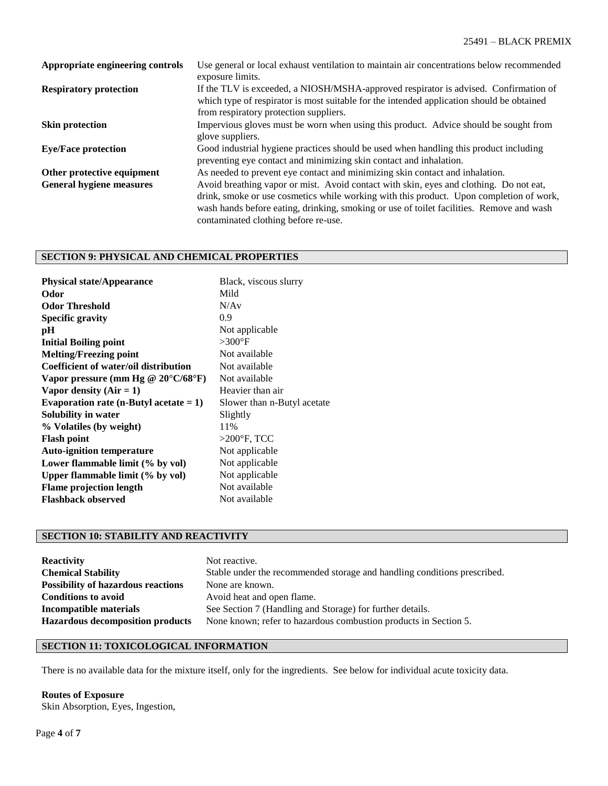| Appropriate engineering controls | Use general or local exhaust ventilation to maintain air concentrations below recommended<br>exposure limits.                                                                                                                                                                                                         |
|----------------------------------|-----------------------------------------------------------------------------------------------------------------------------------------------------------------------------------------------------------------------------------------------------------------------------------------------------------------------|
| <b>Respiratory protection</b>    | If the TLV is exceeded, a NIOSH/MSHA-approved respirator is advised. Confirmation of<br>which type of respirator is most suitable for the intended application should be obtained<br>from respiratory protection suppliers.                                                                                           |
| <b>Skin protection</b>           | Impervious gloves must be worn when using this product. Advice should be sought from<br>glove suppliers.                                                                                                                                                                                                              |
| <b>Eye/Face protection</b>       | Good industrial hygiene practices should be used when handling this product including<br>preventing eye contact and minimizing skin contact and inhalation.                                                                                                                                                           |
| Other protective equipment       | As needed to prevent eye contact and minimizing skin contact and inhalation.                                                                                                                                                                                                                                          |
| <b>General hygiene measures</b>  | Avoid breathing vapor or mist. Avoid contact with skin, eyes and clothing. Do not eat,<br>drink, smoke or use cosmetics while working with this product. Upon completion of work,<br>wash hands before eating, drinking, smoking or use of toilet facilities. Remove and wash<br>contaminated clothing before re-use. |

## **SECTION 9: PHYSICAL AND CHEMICAL PROPERTIES**

| <b>Physical state/Appearance</b>             | Black, viscous slurry       |
|----------------------------------------------|-----------------------------|
| Odor                                         | Mild                        |
| <b>Odor Threshold</b>                        | N/Av                        |
| <b>Specific gravity</b>                      | 0.9                         |
| рH                                           | Not applicable              |
| <b>Initial Boiling point</b>                 | $>300$ °F                   |
| <b>Melting/Freezing point</b>                | Not available               |
| Coefficient of water/oil distribution        | Not available               |
| Vapor pressure (mm Hg @ $20^{\circ}$ C/68°F) | Not available               |
| Vapor density $(Air = 1)$                    | Heavier than air            |
| Evaporation rate (n-Butyl acetate $= 1$ )    | Slower than n-Butyl acetate |
| Solubility in water                          | Slightly                    |
| % Volatiles (by weight)                      | 11%                         |
| <b>Flash point</b>                           | $>200^\circ$ F, TCC         |
| <b>Auto-ignition temperature</b>             | Not applicable              |
| Lower flammable limit (% by vol)             | Not applicable              |
| Upper flammable limit (% by vol)             | Not applicable              |
| <b>Flame projection length</b>               | Not available               |
| <b>Flashback observed</b>                    | Not available               |

## **SECTION 10: STABILITY AND REACTIVITY**

| <b>Reactivity</b>                         | Not reactive.                                                            |
|-------------------------------------------|--------------------------------------------------------------------------|
| <b>Chemical Stability</b>                 | Stable under the recommended storage and handling conditions prescribed. |
| <b>Possibility of hazardous reactions</b> | None are known.                                                          |
| <b>Conditions to avoid</b>                | Avoid heat and open flame.                                               |
| Incompatible materials                    | See Section 7 (Handling and Storage) for further details.                |
| <b>Hazardous decomposition products</b>   | None known; refer to hazardous combustion products in Section 5.         |

## **SECTION 11: TOXICOLOGICAL INFORMATION**

There is no available data for the mixture itself, only for the ingredients. See below for individual acute toxicity data.

#### **Routes of Exposure**

Skin Absorption, Eyes, Ingestion,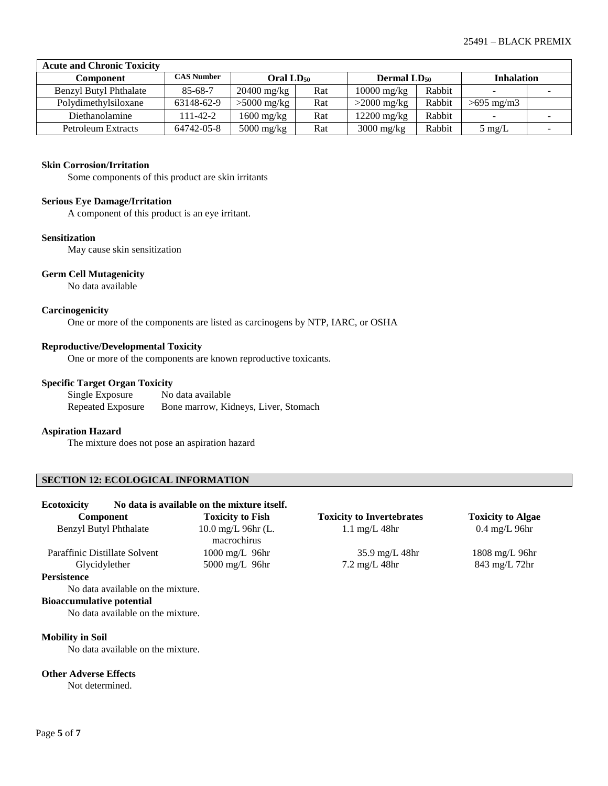| <b>Acute and Chronic Toxicity</b> |                   |                                                         |     |               |        |                   |   |
|-----------------------------------|-------------------|---------------------------------------------------------|-----|---------------|--------|-------------------|---|
| Component                         | <b>CAS Number</b> | Oral LD <sub>50</sub><br><b>Dermal LD</b> <sub>50</sub> |     |               |        | <b>Inhalation</b> |   |
| <b>Benzyl Butyl Phthalate</b>     | $85 - 68 - 7$     | $20400$ mg/kg                                           | Rat | $10000$ mg/kg | Rabbit |                   | - |
| Polydimethylsiloxane              | 63148-62-9        | $>5000$ mg/kg                                           | Rat | $>2000$ mg/kg | Rabbit | $>695$ mg/m3      |   |
| Diethanolamine                    | 111-42-2          | 1600 mg/kg                                              | Rat | $12200$ mg/kg | Rabbit |                   |   |
| Petroleum Extracts                | 64742-05-8        | $5000$ mg/kg                                            | Rat | $3000$ mg/kg  | Rabbit | $5 \text{ mg/L}$  | - |

#### **Skin Corrosion/Irritation**

Some components of this product are skin irritants

#### **Serious Eye Damage/Irritation**

A component of this product is an eye irritant.

#### **Sensitization**

May cause skin sensitization

#### **Germ Cell Mutagenicity**

No data available

### **Carcinogenicity**

One or more of the components are listed as carcinogens by NTP, IARC, or OSHA

#### **Reproductive/Developmental Toxicity**

One or more of the components are known reproductive toxicants.

#### **Specific Target Organ Toxicity**

| Single Exposure   | No data available                    |
|-------------------|--------------------------------------|
| Repeated Exposure | Bone marrow, Kidneys, Liver, Stomach |

#### **Aspiration Hazard**

The mixture does not pose an aspiration hazard

## **SECTION 12: ECOLOGICAL INFORMATION**

| <b>Ecotoxicity</b>               |                                   | No data is available on the mixture itself. |                                  |                          |
|----------------------------------|-----------------------------------|---------------------------------------------|----------------------------------|--------------------------|
| Component                        |                                   | <b>Toxicity to Fish</b>                     | <b>Toxicity to Invertebrates</b> | <b>Toxicity to Algae</b> |
| Benzyl Butyl Phthalate           |                                   | $10.0 \text{ mg/L}$ 96hr (L.<br>macrochirus | $1.1 \text{ mg/L}$ 48hr          | $0.4 \text{ mg/L}$ 96hr  |
| Paraffinic Distillate Solvent    |                                   | $1000 \text{ mg/L}$ 96hr                    | $35.9 \text{ mg/L}$ 48hr         | 1808 mg/L 96hr           |
| Glycidylether                    |                                   | $5000$ mg/L $96$ hr                         | $7.2 \text{ mg/L}$ 48hr          | $843 \text{ mg/L}$ 72hr  |
| <b>Persistence</b>               |                                   |                                             |                                  |                          |
|                                  | No data available on the mixture. |                                             |                                  |                          |
| <b>Bioaccumulative potential</b> |                                   |                                             |                                  |                          |
|                                  | No data available on the mixture. |                                             |                                  |                          |
| <b>Mobility in Soil</b>          | No data available on the mixture. |                                             |                                  |                          |

#### **Other Adverse Effects**

Not determined.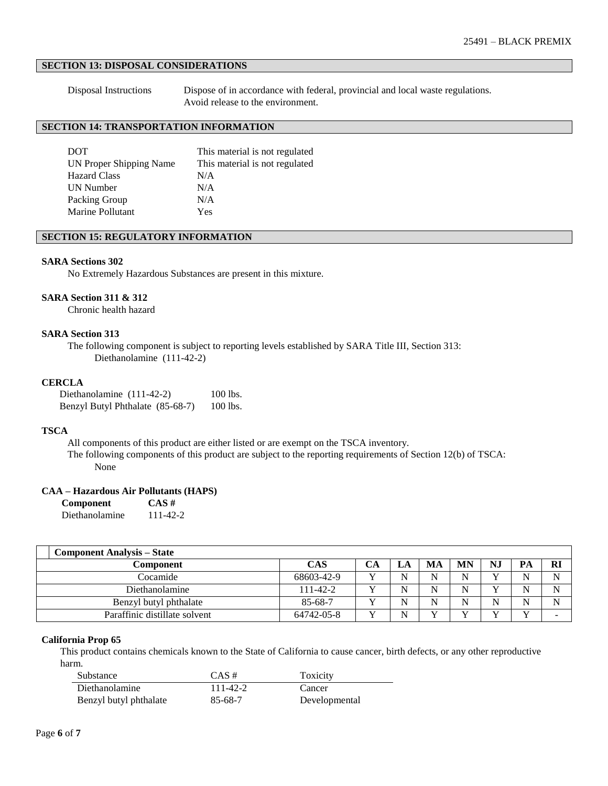## **SECTION 13: DISPOSAL CONSIDERATIONS**

Disposal Instructions Dispose of in accordance with federal, provincial and local waste regulations. Avoid release to the environment.

## **SECTION 14: TRANSPORTATION INFORMATION**

| <b>DOT</b>              | This material is not regulated |
|-------------------------|--------------------------------|
| UN Proper Shipping Name | This material is not regulated |
| <b>Hazard Class</b>     | N/A                            |
| UN Number               | N/A                            |
| Packing Group           | N/A                            |
| Marine Pollutant        | Yes                            |

#### **SECTION 15: REGULATORY INFORMATION**

#### **SARA Sections 302**

No Extremely Hazardous Substances are present in this mixture.

#### **SARA Section 311 & 312**

Chronic health hazard

### **SARA Section 313**

The following component is subject to reporting levels established by SARA Title III, Section 313: Diethanolamine (111-42-2)

#### **CERCLA**

| Diethanolamine $(111-42-2)$      | 100 lbs. |
|----------------------------------|----------|
| Benzyl Butyl Phthalate (85-68-7) | 100 lbs. |

#### **TSCA**

All components of this product are either listed or are exempt on the TSCA inventory.

The following components of this product are subject to the reporting requirements of Section 12(b) of TSCA: None

#### **CAA – Hazardous Air Pollutants (HAPS)**

| Component      | $CAS \#$ |
|----------------|----------|
| Diethanolamine | 111-42-2 |

| <b>Component Analysis – State</b> |            |    |     |           |              |    |          |
|-----------------------------------|------------|----|-----|-----------|--------------|----|----------|
| Component                         | <b>CAS</b> | JA | MA  | <b>MN</b> | N.           | PA | <b>R</b> |
| Cocamide                          | 68603-42-9 |    | N   | N         | $\mathbf{v}$ | N  | N        |
| Diethanolamine                    | 111-42-2   |    | N   | N         | $\mathbf{v}$ | N  | N        |
| Benzyl butyl phthalate            | 85-68-7    |    | N   | N         | N            | N  | N        |
| Paraffinic distillate solvent     | 64742-05-8 |    | v 7 | Y 7       | $\mathbf{v}$ |    |          |

#### **California Prop 65**

This product contains chemicals known to the State of California to cause cancer, birth defects, or any other reproductive harm.

| Substance              | $CAS \#$ | Toxicity      |
|------------------------|----------|---------------|
| Diethanolamine         | 111-42-2 | Cancer        |
| Benzyl butyl phthalate | 85-68-7  | Developmental |